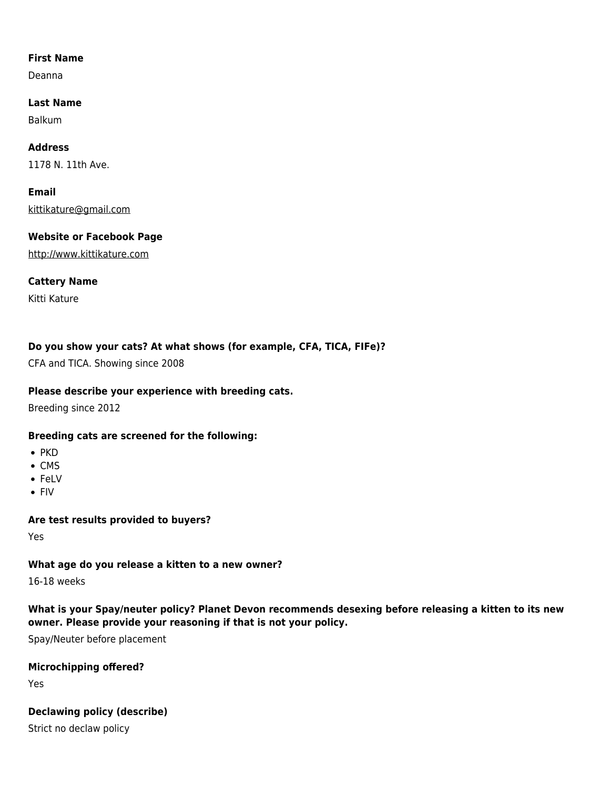### **First Name**

Deanna

**Last Name** Balkum

**Address** 1178 N. 11th Ave.

**Email** [kittikature@gmail.com](mailto:kittikature@gmail.com)

**Website or Facebook Page** <http://www.kittikature.com>

**Cattery Name**

Kitti Kature

# **Do you show your cats? At what shows (for example, CFA, TICA, FIFe)?**

CFA and TICA. Showing since 2008

# **Please describe your experience with breeding cats.**

Breeding since 2012

#### **Breeding cats are screened for the following:**

- $\bullet$  PKD
- $\bullet$  CMS
- FeLV
- $\bullet$  FIV

# **Are test results provided to buyers?**

Yes

# **What age do you release a kitten to a new owner?**

16-18 weeks

# **What is your Spay/neuter policy? Planet Devon recommends desexing before releasing a kitten to its new owner. Please provide your reasoning if that is not your policy.**

Spay/Neuter before placement

# **Microchipping offered?**

Yes

# **Declawing policy (describe)**

Strict no declaw policy